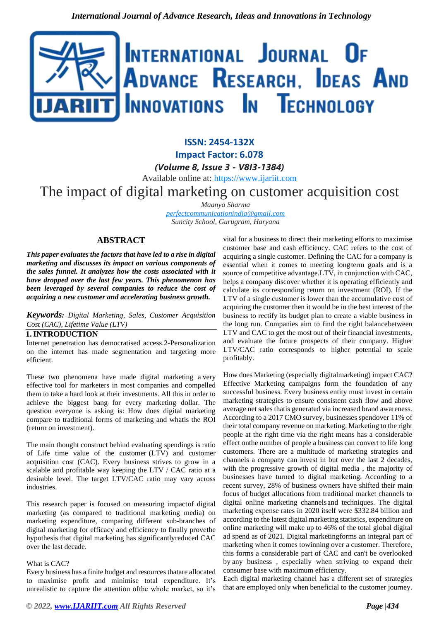

**ISSN: 2454-132X Impact Factor: 6.078** *(Volume 8, Issue 3 - V8I3-1384)* Available online at: [https://www.ijariit.com](https://www.ijariit.com/?utm_source=pdf&utm_medium=edition&utm_campaign=OmAkSols&utm_term=V8I3-1384)

# The impact of digital marketing on customer acquisition cost

*Maanya Sharma*

*[perfectcommunicationindia@gmail.com](mailto:perfectcommunicationindia@gmail.com) Suncity School, Gurugram, Haryana*

# **ABSTRACT**

*This paper evaluates the factors that have led to a rise in digital marketing and discusses its impact on various components of the sales funnel. It analyzes how the costs associated with it have dropped over the last few years. This phenomenon has been leveraged by several companies to reduce the cost of acquiring a new customer and accelerating business growth.*

*Keywords: Digital Marketing, Sales, Customer Acquisition Cost (CAC), Lifetime Value (LTV)*

## **1.INTRODUCTION**

Internet penetration has democratised access.2-Personalization on the internet has made segmentation and targeting more efficient.

These two phenomena have made digital marketing a very effective tool for marketers in most companies and compelled them to take a hard look at their investments. All this in order to achieve the biggest bang for every marketing dollar. The question everyone is asking is: How does digital marketing compare to traditional forms of marketing and whatis the ROI (return on investment).

The main thought construct behind evaluating spendings is ratio of Life time value of the customer (LTV) and customer acquisition cost (CAC). Every business strives to grow in a scalable and profitable way keeping the LTV / CAC ratio at a desirable level. The target LTV/CAC ratio may vary across industries.

This research paper is focused on measuring impactof digital marketing (as compared to traditional marketing media) on marketing expenditure, comparing different sub-branches of digital marketing for efficacy and efficiency to finally provethe hypothesis that digital marketing has significantlyreduced CAC over the last decade.

#### What is CAC?

Every business has a finite budget and resources thatare allocated to maximise profit and minimise total expenditure. It's unrealistic to capture the attention ofthe whole market, so it's

vital for a business to direct their marketing efforts to maximise customer base and cash efficiency. CAC refers to the cost of acquiring a single customer. Defining the CAC for a company is essential when it comes to meeting longterm goals and is a source of competitive advantage.LTV, in conjunction with CAC, helps a company discover whether it is operating efficiently and calculate its corresponding return on investment (ROI). If the LTV of a single customer is lower than the accumulative cost of acquiring the customer then it would be in the best interest of the business to rectify its budget plan to create a viable business in the long run. Companies aim to find the right balancebetween LTV and CAC to get the most out of their financial investments, and evaluate the future prospects of their company. Higher LTV/CAC ratio corresponds to higher potential to scale profitably.

How does Marketing (especially digitalmarketing) impact CAC? Effective Marketing campaigns form the foundation of any successful business. Every business entity must invest in certain marketing strategies to ensure consistent cash flow and above average net sales thatis generated via increased brand awareness. According to a 2017 CMO survey, businesses spendover 11% of their total company revenue on marketing. Marketing to the right people at the right time via the right means has a considerable effect onthe number of people a business can convert to life long customers. There are a multitude of marketing strategies and channels a company can invest in but over the last 2 decades, with the progressive growth of digital media , the majority of businesses have turned to digital marketing. According to a recent survey, 28% of business owners have shifted their main focus of budget allocations from traditional market channels to digital online marketing channelsand techniques. The digital marketing expense rates in 2020 itself were \$332.84 billion and according to the latest digital marketing statistics, expenditure on online marketing will make up to 46% of the total global digital ad spend as of 2021. Digital marketingforms an integral part of marketing when it comes towinning over a customer. Therefore, this forms a considerable part of CAC and can't be overlooked by any business , especially when striving to expand their consumer base with maximum efficiency.

Each digital marketing channel has a different set of strategies that are employed only when beneficial to the customer journey.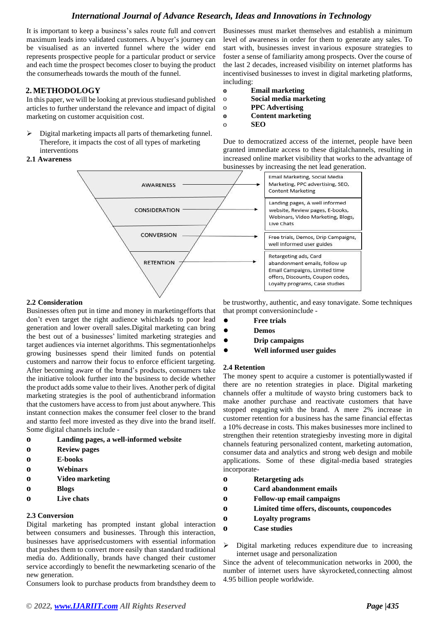# *International Journal of Advance Research, Ideas and Innovations in Technology*

It is important to keep a business's sales route full and convert maximum leads into validated customers. A buyer's journey can be visualised as an inverted funnel where the wider end represents prospective people for a particular product or service and each time the prospect becomes closer to buying the product the consumerheads towards the mouth of the funnel.

## **2. METHODOLOGY**

In this paper, we will be looking at previous studiesand published articles to further understand the relevance and impact of digital marketing on customer acquisition cost.

 $\triangleright$  Digital marketing impacts all parts of themarketing funnel. Therefore, it impacts the cost of all types of marketing interventions

#### **2.1 Awareness**

Businesses must market themselves and establish a minimum level of awareness in order for them to generate any sales. To start with, businesses invest invarious exposure strategies to foster a sense of familiarity among prospects. Over the course of the last 2 decades, increased visibility on internet platforms has incentivised businesses to invest in digital marketing platforms, including:

- **o Email marketing**
- o **Social media marketing**
- o **PPC Advertising**
- **o Content marketing**
- o **SEO**

Due to democratized access of the internet, people have been granted immediate access to these digitalchannels, resulting in increased online market visibility that works to the advantage of businesses by increasing the net lead generation.



#### **2.2 Consideration**

Businesses often put in time and money in marketingefforts that don't even target the right audience whichleads to poor lead generation and lower overall sales.Digital marketing can bring the best out of a businesses' limited marketing strategies and target audiences via internet algorithms. This segmentationhelps growing businesses spend their limited funds on potential customers and narrow their focus to enforce efficient targeting. After becoming aware of the brand's products, consumers take the initiative tolook further into the business to decide whether the product adds some value to their lives. Another perk of digital marketing strategies is the pool of authenticbrand information that the customers have access to from just about anywhere. This instant connection makes the consumer feel closer to the brand and startto feel more invested as they dive into the brand itself. Some digital channels include -

- **o Landing pages, a well-informed website**
- **o Review pages**
- **o E-books**
- **o Webinars**
- **o Video marketing**
- **o Blogs**
- **o Live chats**

#### **2.3 Conversion**

Digital marketing has prompted instant global interaction between consumers and businesses. Through this interaction, businesses have apprisedcustomers with essential information that pushes them to convert more easily than standard traditional media do. Additionally, brands have changed their customer service accordingly to benefit the newmarketing scenario of the new generation.

Consumers look to purchase products from brandsthey deem to

be trustworthy, authentic, and easy tonavigate. Some techniques that prompt conversioninclude -

- **● Free trials**
- **● Demos**
- **● Drip campaigns**
- **● Well informed user guides**

#### **2.4 Retention**

The money spent to acquire a customer is potentiallywasted if there are no retention strategies in place. Digital marketing channels offer a multitude of waysto bring customers back to make another purchase and reactivate customers that have stopped engaging with the brand. A mere 2% increase in customer retention for a business has the same financial effectas a 10% decrease in costs. This makes businesses more inclined to strengthen their retention strategiesby investing more in digital channels featuring personalized content, marketing automation, consumer data and analytics and strong web design and mobile applications. Some of these digital-media based strategies incorporate-

- **o Retargeting ads**
- **o Card abandonment emails**
- **o Follow-up email campaigns**
- **o Limited time offers, discounts, couponcodes**
- **o Loyalty programs**
- **o Case studies**
- $\triangleright$  Digital marketing reduces expenditure due to increasing internet usage and personalization

Since the advent of telecommunication networks in 2000, the number of internet users have skyrocketed,connecting almost 4.95 billion people worldwide.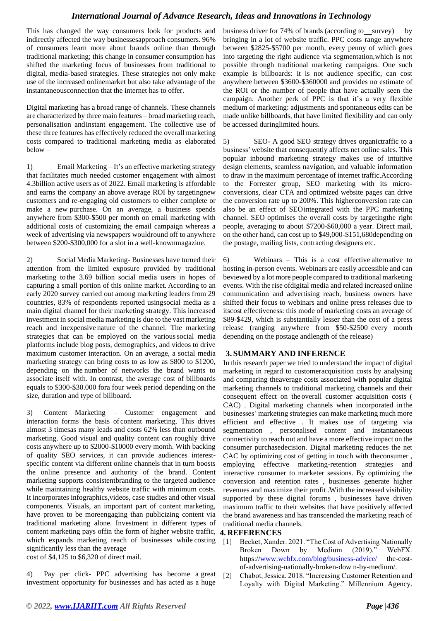# *International Journal of Advance Research, Ideas and Innovations in Technology*

This has changed the way consumers look for products and indirectly affected the way businessesapproach consumers. 96% of consumers learn more about brands online than through traditional marketing; this change in consumer consumption has shifted the marketing focus of businesses from traditional to digital, media-based strategies. These strategies not only make use of the increased onlinemarket but also take advantage of the instantaneousconnection that the internet has to offer.

Digital marketing has a broad range of channels. These channels are characterized by three main features – broad marketing reach, personalisation andinstant engagement. The collective use of these three features has effectively reduced the overall marketing costs compared to traditional marketing media as elaborated below –

1) Email Marketing – It's an effective marketing strategy that facilitates much needed customer engagement with almost 4.3billion active users as of 2022. Email marketing is affordable and earns the company an above average ROI by targetingnew customers and re-engaging old customers to either complete or make a new purchase. On an average, a business spends anywhere from \$300-\$500 per month on email marketing with additional costs of customizing the email campaign whereas a week of advertising via newspapers wouldround off to anywhere between \$200-\$300,000 for a slot in a well-knownmagazine.

2) Social Media Marketing- Businesses have turned their attention from the limited exposure provided by traditional marketing tothe 3.69 billion social media users in hopes of capturing a small portion of this online market. According to an early 2020 survey carried out among marketing leaders from 29 countries, 83% of respondents reported usingsocial media as a main digital channel for their marketing strategy. This increased investment in social media marketing is due to the vast marketing reach and inexpensive nature of the channel. The marketing strategies that can be employed on the varioussocial media platforms include blog posts, demographics, and videos to drive maximum customer interaction. On an average, a social media marketing strategy can bring costs to as low as \$800 to \$1200, depending on the number of networks the brand wants to associate itself with. In contrast, the average cost of billboards equals to \$300-\$30.000 fora four week period depending on the size, duration and type of billboard.

3) Content Marketing – Customer engagement and interaction forms the basis of content marketing. This drives almost 3 timesas many leads and costs 62% less than outbound marketing. Good visual and quality content can roughly drive costs anywhere up to \$2000-\$10000 every month. With backing of quality SEO services, it can provide audiences interestspecific content via different online channels that in turn boosts the online presence and authority of the brand. Content marketing supports consistentbranding to the targeted audience while maintaining healthy website traffic with minimum costs. It incorporates infographics,videos, case studies and other visual components. Visuals, an important part of content marketing, have proven to be moreengaging than publicizing content via traditional marketing alone. Investment in different types of content marketing pays offin the form of higher website traffic, which expands marketing reach of businesses while costing significantly less than the average

cost of \$4,125 to \$6,320 of direct mail.

4) Pay per click- PPC advertising has become a great investment opportunity for businesses and has acted as a huge

business driver for 74% of brands (according to survey) by bringing in a lot of website traffic. PPC costs range anywhere between \$2825-\$5700 per month, every penny of which goes into targeting the right audience via segmentation,which is not possible through traditional marketing campaigns. One such example is billboards: it is not audience specific, can cost anywhere between \$3600-\$360000 and provides no estimate of the ROI or the number of people that have actually seen the campaign. Another perk of PPC is that it's a very flexible medium of marketing: adjustments and spontaneous edits can be made unlike billboards, that have limited flexibility and can only be accessed duringlimited hours.

5) SEO- A good SEO strategy drives organictraffic to a business' website that consequently affects net online sales. This popular inbound marketing strategy makes use of intuitive design elements, seamless navigation, and valuable information to draw in the maximum percentage of internet traffic.According to the Forrester group, SEO marketing with its microconversions, clear CTA and optimized website pages can drive the conversion rate up to 200%. This higherconversion rate can also be an effect of SEOintegrated with the PPC marketing channel. SEO optimises the overall costs by targetingthe right people, averaging to about \$7200-\$60,000 a year. Direct mail, on the other hand, can cost up to \$49,000-\$151,680depending on the postage, mailing lists, contracting designers etc.

6) Webinars – This is a cost effective alternative to hosting in-person events. Webinars are easily accessible and can beviewed by a lot more people compared to traditional marketing events. With the rise ofdigital media and related increased online communication and advertising reach, business owners have shifted their focus to webinars and online press releases due to itscost effectiveness: this mode of marketing costs an average of \$89-\$429, which is substantially lesser than the cost of a press release (ranging anywhere from \$50-\$2500 every month depending on the postage andlength of the release)

## **3. SUMMARY AND INFERENCE**

In this research paper we tried to understand the impact of digital marketing in regard to customeracquisition costs by analysing and comparing theaverage costs associated with popular digital marketing channels to traditional marketing channels and their consequent effect on the overall customer acquisition costs ( CAC) . Digital marketing channels when incorporated inthe businesses' marketing strategies can make marketing much more efficient and effective . It makes use of targeting via segmentation , personalised content and instantaneous connectivity to reach out and have a more effective impact on the consumer purchasedecision. Digital marketing reduces the net CAC by optimizing cost of getting in touch with theconsumer , employing effective marketing-retention strategies and interactive consumer to marketer sessions. By optimizing the conversion and retention rates , businesses generate higher revenues and maximize their profit .With the increased visibility supported by these digital forums , businesses have driven maximum traffic to their websites that have positively affected the brand awareness and has transcended the marketing reach of traditional media channels.

#### **4. REFERENCES**

- [1] Becket, Xander. 2021. "The Cost of Advertising Nationally Broken Down by Medium (2019)." WebFX. https:/[/www.webfx.com/blog/business-advice/](http://www.webfx.com/blog/business-advice/) the-costof-advertising-nationally-broken-dow n-by-medium/.
- [2] Chabot, Jessica. 2018. "Increasing Customer Retention and Loyalty with Digital Marketing." Millennium Agency.